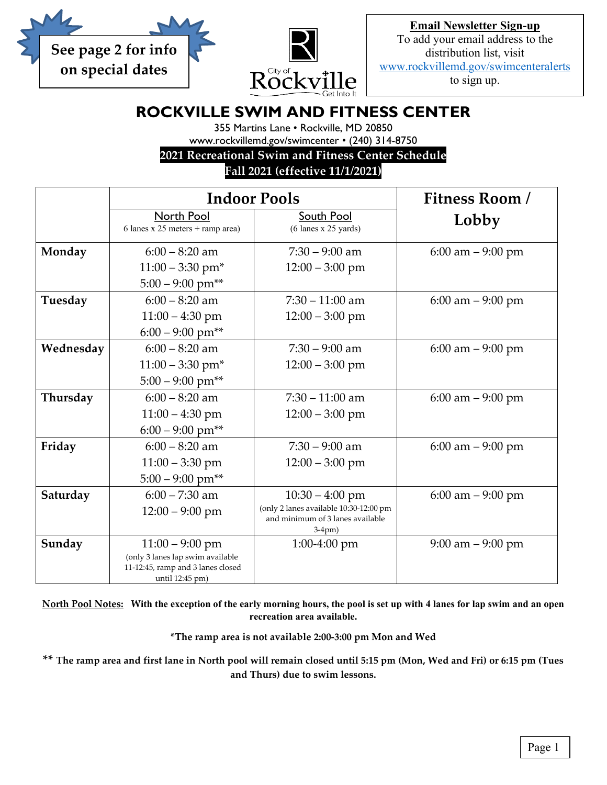



**Email Newsletter Sign-up** To add your email address to the distribution list, visit [www.rockvillemd.gov/swimcenteralerts](http://www.rockvillemd.gov/swimcenteralerts) to sign up.

# **ROCKVILLE SWIM AND FITNESS CENTER**

355 Martins Lane • Rockville, MD 20850

www.rockvillemd.gov/swimcenter • (240) 314-8750

**2021 Recreational Swim and Fitness Center Schedule**

## **Fall 2021 (effective 11/1/2021)**

|           | <b>Indoor Pools</b>                                                   |                                              | Fitness Room/        |
|-----------|-----------------------------------------------------------------------|----------------------------------------------|----------------------|
|           | North Pool<br>6 lanes x 25 meters + ramp area)                        | South Pool<br>$(6$ lanes x 25 yards)         | Lobby                |
| Monday    | $6:00 - 8:20$ am                                                      | $7:30 - 9:00$ am                             | 6:00 am $-9:00$ pm   |
|           | $11:00 - 3:30$ pm <sup>*</sup>                                        | $12:00 - 3:00$ pm                            |                      |
|           | $5:00 - 9:00$ pm**                                                    |                                              |                      |
| Tuesday   | $6:00 - 8:20$ am                                                      | $7:30 - 11:00$ am                            | 6:00 am $-9:00$ pm   |
|           | $11:00 - 4:30$ pm                                                     | $12:00 - 3:00$ pm                            |                      |
|           | $6:00 - 9:00$ pm**                                                    |                                              |                      |
| Wednesday | $6:00 - 8:20$ am                                                      | $7:30 - 9:00$ am                             | $6:00$ am $-9:00$ pm |
|           | $11:00 - 3:30$ pm <sup>*</sup>                                        | $12:00 - 3:00$ pm                            |                      |
|           | $5:00 - 9:00$ pm**                                                    |                                              |                      |
| Thursday  | $6:00 - 8:20$ am                                                      | $7:30 - 11:00$ am                            | $6:00$ am $-9:00$ pm |
|           | $11:00 - 4:30$ pm                                                     | $12:00 - 3:00$ pm                            |                      |
|           | $6:00 - 9:00$ pm**                                                    |                                              |                      |
| Friday    | $6:00 - 8:20$ am                                                      | $7:30 - 9:00$ am                             | $6:00$ am $-9:00$ pm |
|           | $11:00 - 3:30$ pm                                                     | $12:00 - 3:00$ pm                            |                      |
|           | $5:00 - 9:00$ pm**                                                    |                                              |                      |
| Saturday  | $6:00 - 7:30$ am                                                      | $10:30 - 4:00$ pm                            | $6:00$ am $-9:00$ pm |
|           | $12:00 - 9:00$ pm                                                     | (only 2 lanes available 10:30-12:00 pm       |                      |
|           |                                                                       | and minimum of 3 lanes available<br>$3-4pm)$ |                      |
| Sunday    | $11:00 - 9:00$ pm                                                     | $1:00-4:00$ pm                               | $9:00$ am $-9:00$ pm |
|           | (only 3 lanes lap swim available<br>11-12:45, ramp and 3 lanes closed |                                              |                      |
|           | until 12:45 pm)                                                       |                                              |                      |

**North Pool Notes: With the exception of the early morning hours, the pool is set up with 4 lanes for lap swim and an open recreation area available.**

**\*The ramp area is not available 2:00-3:00 pm Mon and Wed**

**\*\* The ramp area and first lane in North pool will remain closed until 5:15 pm (Mon, Wed and Fri) or 6:15 pm (Tues and Thurs) due to swim lessons.**